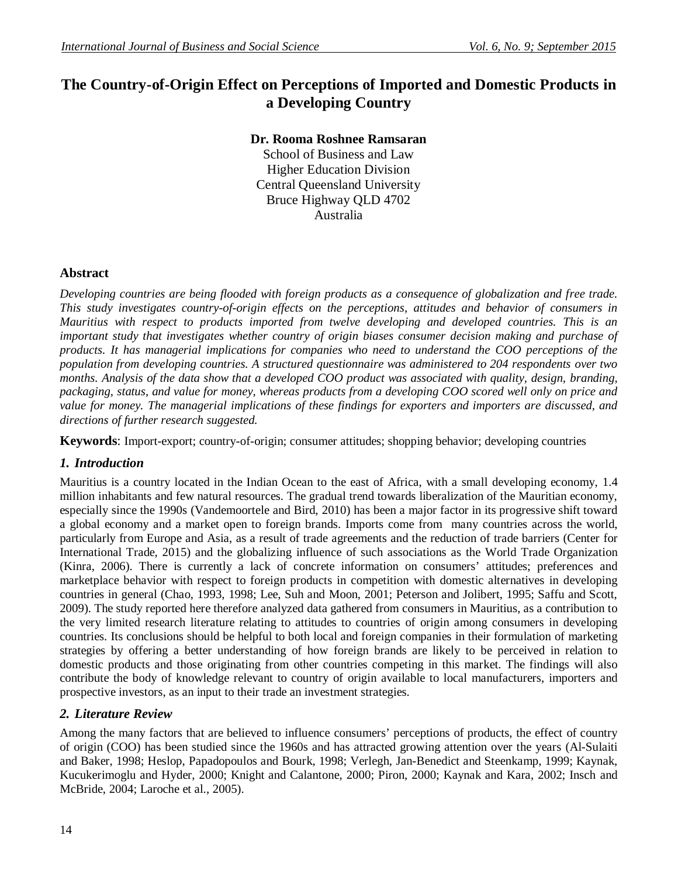# **The Country-of-Origin Effect on Perceptions of Imported and Domestic Products in a Developing Country**

### **Dr. Rooma Roshnee Ramsaran**

School of Business and Law Higher Education Division Central Queensland University Bruce Highway QLD 4702 Australia

#### **Abstract**

*Developing countries are being flooded with foreign products as a consequence of globalization and free trade. This study investigates country-of-origin effects on the perceptions, attitudes and behavior of consumers in Mauritius with respect to products imported from twelve developing and developed countries. This is an important study that investigates whether country of origin biases consumer decision making and purchase of products. It has managerial implications for companies who need to understand the COO perceptions of the population from developing countries. A structured questionnaire was administered to 204 respondents over two*  months. Analysis of the data show that a developed COO product was associated with quality, design, branding, *packaging, status, and value for money, whereas products from a developing COO scored well only on price and value for money. The managerial implications of these findings for exporters and importers are discussed, and directions of further research suggested.* 

**Keywords**: Import-export; country-of-origin; consumer attitudes; shopping behavior; developing countries

### *1. Introduction*

Mauritius is a country located in the Indian Ocean to the east of Africa, with a small developing economy, 1.4 million inhabitants and few natural resources. The gradual trend towards liberalization of the Mauritian economy, especially since the 1990s (Vandemoortele and Bird, 2010) has been a major factor in its progressive shift toward a global economy and a market open to foreign brands. Imports come from many countries across the world, particularly from Europe and Asia, as a result of trade agreements and the reduction of trade barriers (Center for International Trade, 2015) and the globalizing influence of such associations as the World Trade Organization (Kinra, 2006). There is currently a lack of concrete information on consumers' attitudes; preferences and marketplace behavior with respect to foreign products in competition with domestic alternatives in developing countries in general (Chao, 1993, 1998; Lee, Suh and Moon, 2001; Peterson and Jolibert, 1995; Saffu and Scott, 2009). The study reported here therefore analyzed data gathered from consumers in Mauritius, as a contribution to the very limited research literature relating to attitudes to countries of origin among consumers in developing countries. Its conclusions should be helpful to both local and foreign companies in their formulation of marketing strategies by offering a better understanding of how foreign brands are likely to be perceived in relation to domestic products and those originating from other countries competing in this market. The findings will also contribute the body of knowledge relevant to country of origin available to local manufacturers, importers and prospective investors, as an input to their trade an investment strategies.

### *2. Literature Review*

Among the many factors that are believed to influence consumers' perceptions of products, the effect of country of origin (COO) has been studied since the 1960s and has attracted growing attention over the years (Al-Sulaiti and Baker, 1998; Heslop, Papadopoulos and Bourk, 1998; Verlegh, Jan-Benedict and Steenkamp, 1999; Kaynak, Kucukerimoglu and Hyder, 2000; Knight and Calantone, 2000; Piron, 2000; Kaynak and Kara, 2002; Insch and McBride, 2004; Laroche et al., 2005).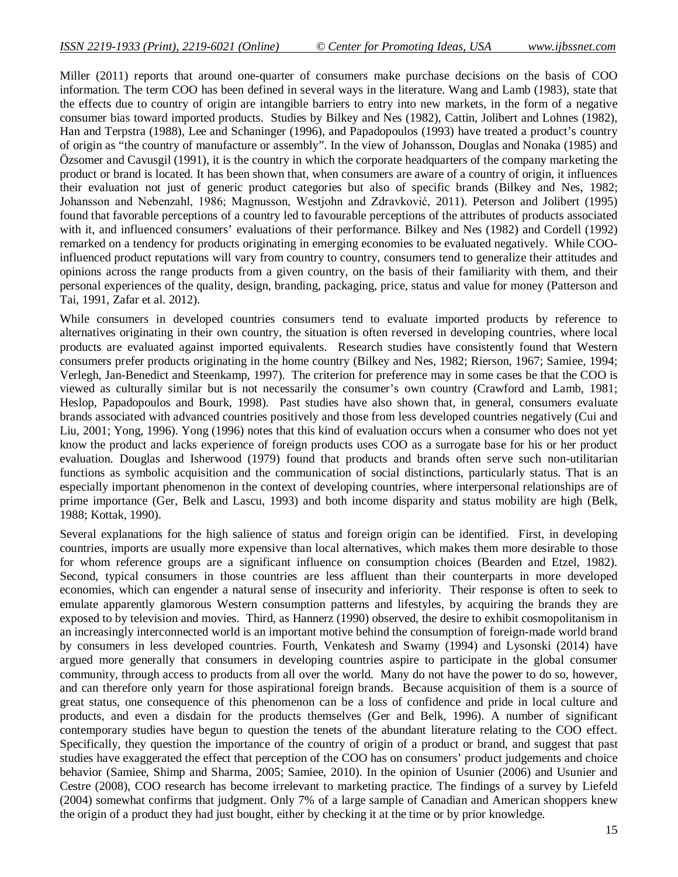Miller (2011) reports that around one-quarter of consumers make purchase decisions on the basis of COO information. The term COO has been defined in several ways in the literature. Wang and Lamb (1983), state that the effects due to country of origin are intangible barriers to entry into new markets, in the form of a negative consumer bias toward imported products. Studies by Bilkey and Nes (1982), Cattin, Jolibert and Lohnes (1982), Han and Terpstra (1988), Lee and Schaninger (1996), and Papadopoulos (1993) have treated a product's country of origin as "the country of manufacture or assembly". In the view of Johansson, Douglas and Nonaka (1985) and Özsomer and Cavusgil (1991), it is the country in which the corporate headquarters of the company marketing the product or brand is located. It has been shown that, when consumers are aware of a country of origin, it influences their evaluation not just of generic product categories but also of specific brands (Bilkey and Nes, 1982; Johansson and Nebenzahl, 1986; Magnusson, Westjohn and Zdravković, 2011). Peterson and Jolibert (1995) found that favorable perceptions of a country led to favourable perceptions of the attributes of products associated with it, and influenced consumers' evaluations of their performance. Bilkey and Nes (1982) and Cordell (1992) remarked on a tendency for products originating in emerging economies to be evaluated negatively. While COOinfluenced product reputations will vary from country to country, consumers tend to generalize their attitudes and opinions across the range products from a given country, on the basis of their familiarity with them, and their personal experiences of the quality, design, branding, packaging, price, status and value for money (Patterson and Tai, 1991, Zafar et al. 2012).

While consumers in developed countries consumers tend to evaluate imported products by reference to alternatives originating in their own country, the situation is often reversed in developing countries, where local products are evaluated against imported equivalents. Research studies have consistently found that Western consumers prefer products originating in the home country (Bilkey and Nes, 1982; Rierson, 1967; Samiee, 1994; Verlegh, Jan-Benedict and Steenkamp, 1997). The criterion for preference may in some cases be that the COO is viewed as culturally similar but is not necessarily the consumer's own country (Crawford and Lamb, 1981; Heslop, Papadopoulos and Bourk, 1998). Past studies have also shown that, in general, consumers evaluate brands associated with advanced countries positively and those from less developed countries negatively (Cui and Liu, 2001; Yong, 1996). Yong (1996) notes that this kind of evaluation occurs when a consumer who does not yet know the product and lacks experience of foreign products uses COO as a surrogate base for his or her product evaluation. Douglas and Isherwood (1979) found that products and brands often serve such non-utilitarian functions as symbolic acquisition and the communication of social distinctions, particularly status. That is an especially important phenomenon in the context of developing countries, where interpersonal relationships are of prime importance (Ger, Belk and Lascu, 1993) and both income disparity and status mobility are high (Belk, 1988; Kottak, 1990).

Several explanations for the high salience of status and foreign origin can be identified. First, in developing countries, imports are usually more expensive than local alternatives, which makes them more desirable to those for whom reference groups are a significant influence on consumption choices (Bearden and Etzel, 1982). Second, typical consumers in those countries are less affluent than their counterparts in more developed economies, which can engender a natural sense of insecurity and inferiority. Their response is often to seek to emulate apparently glamorous Western consumption patterns and lifestyles, by acquiring the brands they are exposed to by television and movies. Third, as Hannerz (1990) observed, the desire to exhibit cosmopolitanism in an increasingly interconnected world is an important motive behind the consumption of foreign-made world brand by consumers in less developed countries. Fourth, Venkatesh and Swamy (1994) and Lysonski (2014) have argued more generally that consumers in developing countries aspire to participate in the global consumer community, through access to products from all over the world. Many do not have the power to do so, however, and can therefore only yearn for those aspirational foreign brands. Because acquisition of them is a source of great status, one consequence of this phenomenon can be a loss of confidence and pride in local culture and products, and even a disdain for the products themselves (Ger and Belk, 1996). A number of significant contemporary studies have begun to question the tenets of the abundant literature relating to the COO effect. Specifically, they question the importance of the country of origin of a product or brand, and suggest that past studies have exaggerated the effect that perception of the COO has on consumers' product judgements and choice behavior (Samiee, Shimp and Sharma, 2005; Samiee, 2010). In the opinion of Usunier (2006) and Usunier and Cestre (2008), COO research has become irrelevant to marketing practice. The findings of a survey by Liefeld (2004) somewhat confirms that judgment. Only 7% of a large sample of Canadian and American shoppers knew the origin of a product they had just bought, either by checking it at the time or by prior knowledge.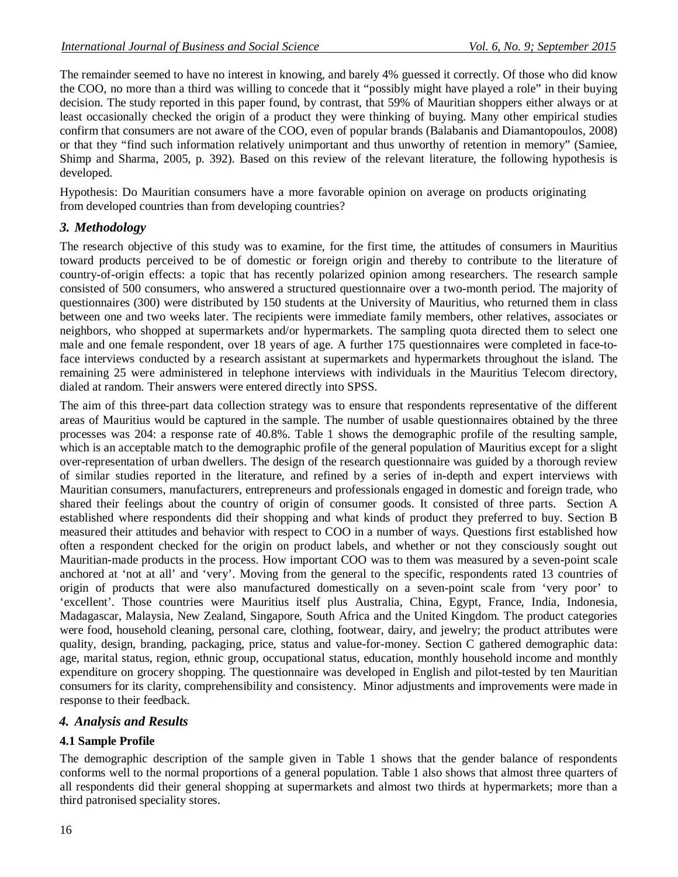The remainder seemed to have no interest in knowing, and barely 4% guessed it correctly. Of those who did know the COO, no more than a third was willing to concede that it "possibly might have played a role" in their buying decision. The study reported in this paper found, by contrast, that 59% of Mauritian shoppers either always or at least occasionally checked the origin of a product they were thinking of buying. Many other empirical studies confirm that consumers are not aware of the COO, even of popular brands (Balabanis and Diamantopoulos, 2008) or that they "find such information relatively unimportant and thus unworthy of retention in memory" (Samiee, Shimp and Sharma, 2005, p. 392). Based on this review of the relevant literature, the following hypothesis is developed.

Hypothesis: Do Mauritian consumers have a more favorable opinion on average on products originating from developed countries than from developing countries?

#### *3. Methodology*

The research objective of this study was to examine, for the first time, the attitudes of consumers in Mauritius toward products perceived to be of domestic or foreign origin and thereby to contribute to the literature of country-of-origin effects: a topic that has recently polarized opinion among researchers. The research sample consisted of 500 consumers, who answered a structured questionnaire over a two-month period. The majority of questionnaires (300) were distributed by 150 students at the University of Mauritius, who returned them in class between one and two weeks later. The recipients were immediate family members, other relatives, associates or neighbors, who shopped at supermarkets and/or hypermarkets. The sampling quota directed them to select one male and one female respondent, over 18 years of age. A further 175 questionnaires were completed in face-toface interviews conducted by a research assistant at supermarkets and hypermarkets throughout the island. The remaining 25 were administered in telephone interviews with individuals in the Mauritius Telecom directory, dialed at random. Their answers were entered directly into SPSS.

The aim of this three-part data collection strategy was to ensure that respondents representative of the different areas of Mauritius would be captured in the sample. The number of usable questionnaires obtained by the three processes was 204: a response rate of 40.8%. Table 1 shows the demographic profile of the resulting sample, which is an acceptable match to the demographic profile of the general population of Mauritius except for a slight over-representation of urban dwellers. The design of the research questionnaire was guided by a thorough review of similar studies reported in the literature, and refined by a series of in-depth and expert interviews with Mauritian consumers, manufacturers, entrepreneurs and professionals engaged in domestic and foreign trade, who shared their feelings about the country of origin of consumer goods. It consisted of three parts. Section A established where respondents did their shopping and what kinds of product they preferred to buy. Section B measured their attitudes and behavior with respect to COO in a number of ways. Questions first established how often a respondent checked for the origin on product labels, and whether or not they consciously sought out Mauritian-made products in the process. How important COO was to them was measured by a seven-point scale anchored at 'not at all' and 'very'. Moving from the general to the specific, respondents rated 13 countries of origin of products that were also manufactured domestically on a seven-point scale from 'very poor' to 'excellent'. Those countries were Mauritius itself plus Australia, China, Egypt, France, India, Indonesia, Madagascar, Malaysia, New Zealand, Singapore, South Africa and the United Kingdom. The product categories were food, household cleaning, personal care, clothing, footwear, dairy, and jewelry; the product attributes were quality, design, branding, packaging, price, status and value-for-money. Section C gathered demographic data: age, marital status, region, ethnic group, occupational status, education, monthly household income and monthly expenditure on grocery shopping. The questionnaire was developed in English and pilot-tested by ten Mauritian consumers for its clarity, comprehensibility and consistency. Minor adjustments and improvements were made in response to their feedback.

#### *4. Analysis and Results*

#### **4.1 Sample Profile**

The demographic description of the sample given in Table 1 shows that the gender balance of respondents conforms well to the normal proportions of a general population. Table 1 also shows that almost three quarters of all respondents did their general shopping at supermarkets and almost two thirds at hypermarkets; more than a third patronised speciality stores.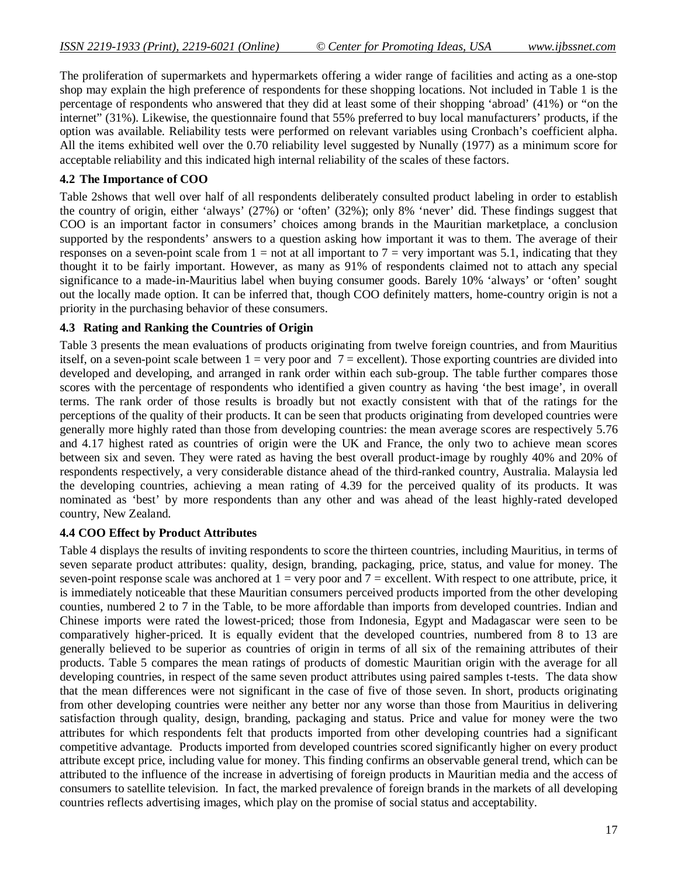The proliferation of supermarkets and hypermarkets offering a wider range of facilities and acting as a one-stop shop may explain the high preference of respondents for these shopping locations. Not included in Table 1 is the percentage of respondents who answered that they did at least some of their shopping 'abroad' (41%) or "on the internet" (31%). Likewise, the questionnaire found that 55% preferred to buy local manufacturers' products, if the option was available. Reliability tests were performed on relevant variables using Cronbach's coefficient alpha. All the items exhibited well over the 0.70 reliability level suggested by Nunally (1977) as a minimum score for acceptable reliability and this indicated high internal reliability of the scales of these factors.

#### **4.2 The Importance of COO**

Table 2shows that well over half of all respondents deliberately consulted product labeling in order to establish the country of origin, either 'always' (27%) or 'often' (32%); only 8% 'never' did. These findings suggest that COO is an important factor in consumers' choices among brands in the Mauritian marketplace, a conclusion supported by the respondents' answers to a question asking how important it was to them. The average of their responses on a seven-point scale from  $1 =$  not at all important to  $7 =$  very important was 5.1, indicating that they thought it to be fairly important. However, as many as 91% of respondents claimed not to attach any special significance to a made-in-Mauritius label when buying consumer goods. Barely 10% 'always' or 'often' sought out the locally made option. It can be inferred that, though COO definitely matters, home-country origin is not a priority in the purchasing behavior of these consumers.

#### **4.3 Rating and Ranking the Countries of Origin**

Table 3 presents the mean evaluations of products originating from twelve foreign countries, and from Mauritius itself, on a seven-point scale between  $1 = \text{very poor and } 7 = \text{excellent}$ . Those exporting countries are divided into developed and developing, and arranged in rank order within each sub-group. The table further compares those scores with the percentage of respondents who identified a given country as having 'the best image', in overall terms. The rank order of those results is broadly but not exactly consistent with that of the ratings for the perceptions of the quality of their products. It can be seen that products originating from developed countries were generally more highly rated than those from developing countries: the mean average scores are respectively 5.76 and 4.17 highest rated as countries of origin were the UK and France, the only two to achieve mean scores between six and seven. They were rated as having the best overall product-image by roughly 40% and 20% of respondents respectively, a very considerable distance ahead of the third-ranked country, Australia. Malaysia led the developing countries, achieving a mean rating of 4.39 for the perceived quality of its products. It was nominated as 'best' by more respondents than any other and was ahead of the least highly-rated developed country, New Zealand.

#### **4.4 COO Effect by Product Attributes**

Table 4 displays the results of inviting respondents to score the thirteen countries, including Mauritius, in terms of seven separate product attributes: quality, design, branding, packaging, price, status, and value for money. The seven-point response scale was anchored at  $1 = \text{very poor}$  and  $7 = \text{excellent}$ . With respect to one attribute, price, it is immediately noticeable that these Mauritian consumers perceived products imported from the other developing counties, numbered 2 to 7 in the Table, to be more affordable than imports from developed countries. Indian and Chinese imports were rated the lowest-priced; those from Indonesia, Egypt and Madagascar were seen to be comparatively higher-priced. It is equally evident that the developed countries, numbered from 8 to 13 are generally believed to be superior as countries of origin in terms of all six of the remaining attributes of their products. Table 5 compares the mean ratings of products of domestic Mauritian origin with the average for all developing countries, in respect of the same seven product attributes using paired samples t-tests. The data show that the mean differences were not significant in the case of five of those seven. In short, products originating from other developing countries were neither any better nor any worse than those from Mauritius in delivering satisfaction through quality, design, branding, packaging and status. Price and value for money were the two attributes for which respondents felt that products imported from other developing countries had a significant competitive advantage. Products imported from developed countries scored significantly higher on every product attribute except price, including value for money. This finding confirms an observable general trend, which can be attributed to the influence of the increase in advertising of foreign products in Mauritian media and the access of consumers to satellite television. In fact, the marked prevalence of foreign brands in the markets of all developing countries reflects advertising images, which play on the promise of social status and acceptability.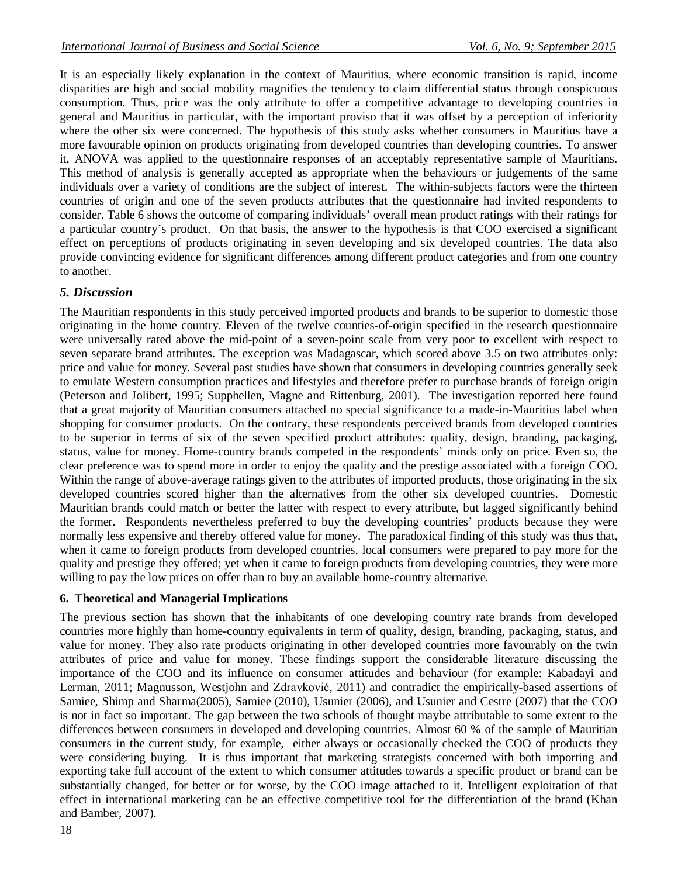It is an especially likely explanation in the context of Mauritius, where economic transition is rapid, income disparities are high and social mobility magnifies the tendency to claim differential status through conspicuous consumption. Thus, price was the only attribute to offer a competitive advantage to developing countries in general and Mauritius in particular, with the important proviso that it was offset by a perception of inferiority where the other six were concerned. The hypothesis of this study asks whether consumers in Mauritius have a more favourable opinion on products originating from developed countries than developing countries. To answer it, ANOVA was applied to the questionnaire responses of an acceptably representative sample of Mauritians. This method of analysis is generally accepted as appropriate when the behaviours or judgements of the same individuals over a variety of conditions are the subject of interest. The within-subjects factors were the thirteen countries of origin and one of the seven products attributes that the questionnaire had invited respondents to consider. Table 6 shows the outcome of comparing individuals' overall mean product ratings with their ratings for a particular country's product. On that basis, the answer to the hypothesis is that COO exercised a significant effect on perceptions of products originating in seven developing and six developed countries. The data also provide convincing evidence for significant differences among different product categories and from one country to another.

#### *5. Discussion*

The Mauritian respondents in this study perceived imported products and brands to be superior to domestic those originating in the home country. Eleven of the twelve counties-of-origin specified in the research questionnaire were universally rated above the mid-point of a seven-point scale from very poor to excellent with respect to seven separate brand attributes. The exception was Madagascar, which scored above 3.5 on two attributes only: price and value for money. Several past studies have shown that consumers in developing countries generally seek to emulate Western consumption practices and lifestyles and therefore prefer to purchase brands of foreign origin (Peterson and Jolibert, 1995; Supphellen, Magne and Rittenburg, 2001). The investigation reported here found that a great majority of Mauritian consumers attached no special significance to a made-in-Mauritius label when shopping for consumer products. On the contrary, these respondents perceived brands from developed countries to be superior in terms of six of the seven specified product attributes: quality, design, branding, packaging, status, value for money. Home-country brands competed in the respondents' minds only on price. Even so, the clear preference was to spend more in order to enjoy the quality and the prestige associated with a foreign COO. Within the range of above-average ratings given to the attributes of imported products, those originating in the six developed countries scored higher than the alternatives from the other six developed countries. Domestic Mauritian brands could match or better the latter with respect to every attribute, but lagged significantly behind the former. Respondents nevertheless preferred to buy the developing countries' products because they were normally less expensive and thereby offered value for money. The paradoxical finding of this study was thus that, when it came to foreign products from developed countries, local consumers were prepared to pay more for the quality and prestige they offered; yet when it came to foreign products from developing countries, they were more willing to pay the low prices on offer than to buy an available home-country alternative.

#### **6. Theoretical and Managerial Implications**

The previous section has shown that the inhabitants of one developing country rate brands from developed countries more highly than home-country equivalents in term of quality, design, branding, packaging, status, and value for money. They also rate products originating in other developed countries more favourably on the twin attributes of price and value for money. These findings support the considerable literature discussing the importance of the COO and its influence on consumer attitudes and behaviour (for example: Kabadayi and Lerman, 2011; Magnusson, Westjohn and Zdravković*,* 2011) and contradict the empirically-based assertions of Samiee, Shimp and Sharma(2005), Samiee (2010), Usunier (2006), and Usunier and Cestre (2007) that the COO is not in fact so important. The gap between the two schools of thought maybe attributable to some extent to the differences between consumers in developed and developing countries. Almost 60 % of the sample of Mauritian consumers in the current study, for example, either always or occasionally checked the COO of products they were considering buying. It is thus important that marketing strategists concerned with both importing and exporting take full account of the extent to which consumer attitudes towards a specific product or brand can be substantially changed, for better or for worse, by the COO image attached to it. Intelligent exploitation of that effect in international marketing can be an effective competitive tool for the differentiation of the brand (Khan and Bamber, 2007).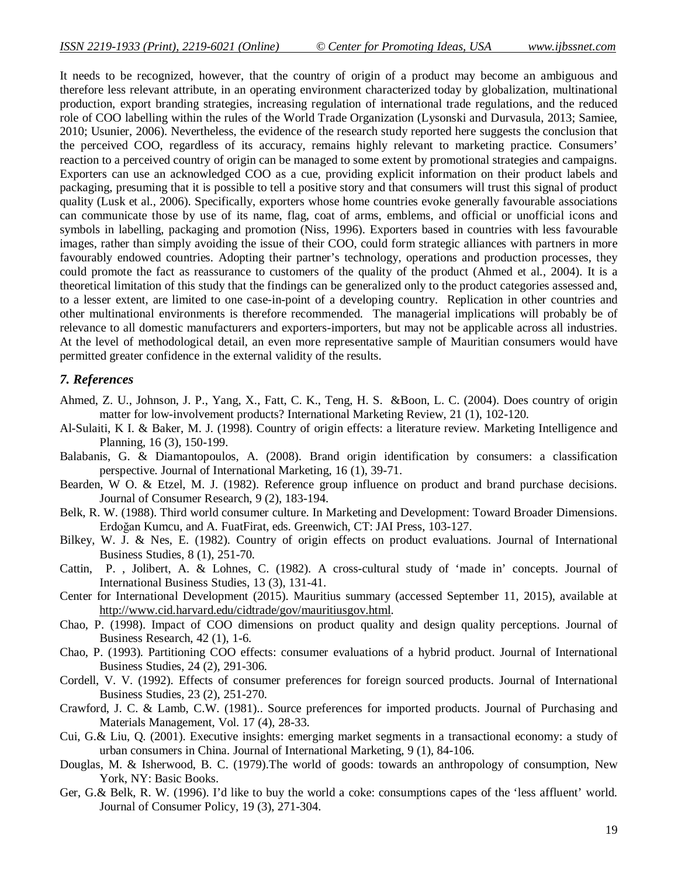It needs to be recognized, however, that the country of origin of a product may become an ambiguous and therefore less relevant attribute, in an operating environment characterized today by globalization, multinational production, export branding strategies, increasing regulation of international trade regulations, and the reduced role of COO labelling within the rules of the World Trade Organization (Lysonski and Durvasula, 2013; Samiee, 2010; Usunier, 2006). Nevertheless, the evidence of the research study reported here suggests the conclusion that the perceived COO, regardless of its accuracy, remains highly relevant to marketing practice. Consumers' reaction to a perceived country of origin can be managed to some extent by promotional strategies and campaigns. Exporters can use an acknowledged COO as a cue, providing explicit information on their product labels and packaging, presuming that it is possible to tell a positive story and that consumers will trust this signal of product quality (Lusk et al., 2006). Specifically, exporters whose home countries evoke generally favourable associations can communicate those by use of its name, flag, coat of arms, emblems, and official or unofficial icons and symbols in labelling, packaging and promotion (Niss, 1996). Exporters based in countries with less favourable images, rather than simply avoiding the issue of their COO, could form strategic alliances with partners in more favourably endowed countries. Adopting their partner's technology, operations and production processes, they could promote the fact as reassurance to customers of the quality of the product (Ahmed et al*.*, 2004). It is a theoretical limitation of this study that the findings can be generalized only to the product categories assessed and, to a lesser extent, are limited to one case-in-point of a developing country. Replication in other countries and other multinational environments is therefore recommended. The managerial implications will probably be of relevance to all domestic manufacturers and exporters-importers, but may not be applicable across all industries. At the level of methodological detail, an even more representative sample of Mauritian consumers would have permitted greater confidence in the external validity of the results.

#### *7. References*

- Ahmed, Z. U., Johnson, J. P., Yang, X., Fatt, C. K., Teng, H. S. &Boon, L. C. (2004). Does country of origin matter for low-involvement products? International Marketing Review, 21 (1), 102-120.
- Al-Sulaiti, K I. & Baker, M. J. (1998). Country of origin effects: a literature review. Marketing Intelligence and Planning, 16 (3), 150-199.
- Balabanis, G. & Diamantopoulos, A. (2008). Brand origin identification by consumers: a classification perspective. Journal of International Marketing, 16 (1), 39-71.
- Bearden, W O. & Etzel, M. J. (1982). Reference group influence on product and brand purchase decisions. Journal of Consumer Research, 9 (2), 183-194.
- Belk, R. W. (1988). Third world consumer culture. In Marketing and Development: Toward Broader Dimensions. Erdoğan Kumcu, and A. FuatFirat, eds. Greenwich, CT: JAI Press, 103-127.
- Bilkey, W. J. & Nes, E. (1982). Country of origin effects on product evaluations. Journal of International Business Studies, 8 (1), 251-70.
- Cattin, P. , Jolibert, A. & Lohnes, C. (1982). A cross-cultural study of 'made in' concepts. Journal of International Business Studies, 13 (3), 131-41.
- Center for International Development (2015). Mauritius summary (accessed September 11, 2015), available at http://www.cid.harvard.edu/cidtrade/gov/mauritiusgov.html.
- Chao, P. (1998). Impact of COO dimensions on product quality and design quality perceptions. Journal of Business Research, 42 (1), 1-6.
- Chao, P. (1993). Partitioning COO effects: consumer evaluations of a hybrid product. Journal of International Business Studies, 24 (2), 291-306.
- Cordell, V. V. (1992). Effects of consumer preferences for foreign sourced products. Journal of International Business Studies, 23 (2), 251-270.
- Crawford, J. C. & Lamb, C.W. (1981).. Source preferences for imported products. Journal of Purchasing and Materials Management, Vol. 17 (4), 28-33.
- Cui, G.& Liu, Q. (2001). Executive insights: emerging market segments in a transactional economy: a study of urban consumers in China. Journal of International Marketing, 9 (1), 84-106.
- Douglas, M. & Isherwood, B. C. (1979).The world of goods: towards an anthropology of consumption, New York, NY: Basic Books.
- Ger, G.& Belk, R. W. (1996). I'd like to buy the world a coke: consumptions capes of the 'less affluent' world. Journal of Consumer Policy, 19 (3), 271-304.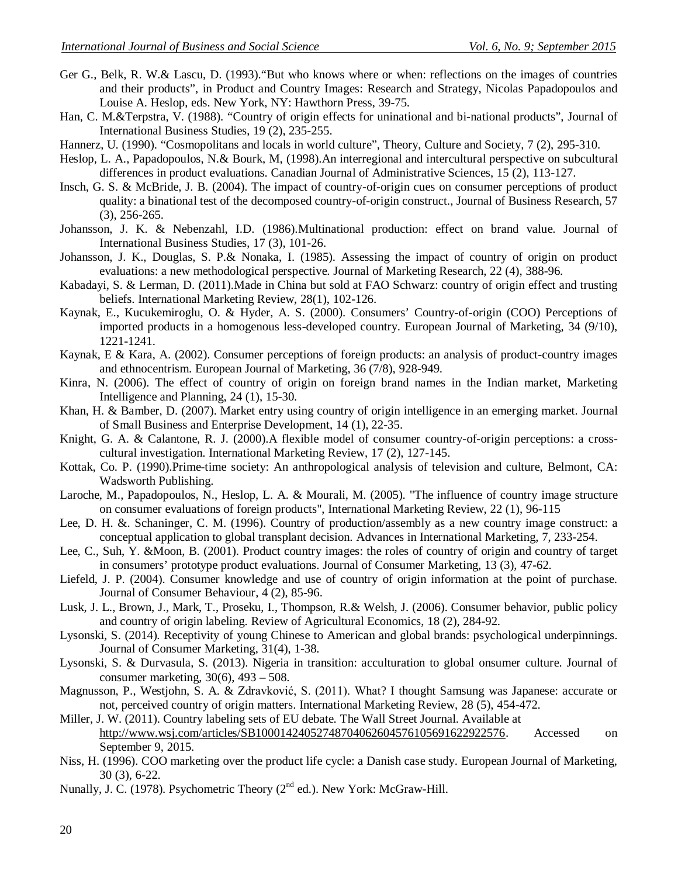- Ger G., Belk, R. W.& Lascu, D. (1993)."But who knows where or when: reflections on the images of countries and their products", in Product and Country Images: Research and Strategy, Nicolas Papadopoulos and Louise A. Heslop, eds. New York, NY: Hawthorn Press, 39-75.
- Han, C. M.&Terpstra, V. (1988). "Country of origin effects for uninational and bi-national products", Journal of International Business Studies, 19 (2), 235-255.
- Hannerz, U. (1990). "Cosmopolitans and locals in world culture", Theory, Culture and Society, 7 (2), 295-310.
- Heslop, L. A., Papadopoulos, N.& Bourk, M, (1998).An interregional and intercultural perspective on subcultural differences in product evaluations. Canadian Journal of Administrative Sciences, 15 (2), 113-127.
- Insch, G. S. & McBride, J. B. (2004). The impact of country-of-origin cues on consumer perceptions of product quality: a binational test of the decomposed country-of-origin construct., Journal of Business Research, 57 (3), 256-265.
- Johansson, J. K. & Nebenzahl, I.D. (1986).Multinational production: effect on brand value. Journal of International Business Studies, 17 (3), 101-26.
- Johansson, J. K., Douglas, S. P.& Nonaka, I. (1985). Assessing the impact of country of origin on product evaluations: a new methodological perspective. Journal of Marketing Research, 22 (4), 388-96.
- Kabadayi, S. & Lerman, D. (2011).Made in China but sold at FAO Schwarz: country of origin effect and trusting beliefs. International Marketing Review, 28(1), 102-126.
- Kaynak, E., Kucukemiroglu, O. & Hyder, A. S. (2000). Consumers' Country-of-origin (COO) Perceptions of imported products in a homogenous less-developed country. European Journal of Marketing, 34 (9/10), 1221-1241.
- Kaynak, E & Kara, A. (2002). Consumer perceptions of foreign products: an analysis of product-country images and ethnocentrism. European Journal of Marketing, 36 (7/8), 928-949.
- Kinra, N. (2006). The effect of country of origin on foreign brand names in the Indian market, Marketing Intelligence and Planning, 24 (1), 15-30.
- Khan, H. & Bamber, D. (2007). Market entry using country of origin intelligence in an emerging market. Journal of Small Business and Enterprise Development, 14 (1), 22-35.
- Knight, G. A. & Calantone, R. J. (2000).A flexible model of consumer country-of-origin perceptions: a crosscultural investigation. International Marketing Review, 17 (2), 127-145.
- Kottak, Co. P. (1990).Prime-time society: An anthropological analysis of television and culture, Belmont, CA: Wadsworth Publishing.
- Laroche, M., Papadopoulos, N., Heslop, L. A. & Mourali, M. (2005). "The influence of country image structure on consumer evaluations of foreign products", International Marketing Review, 22 (1), 96-115
- Lee, D. H. &. Schaninger, C. M. (1996). Country of production/assembly as a new country image construct: a conceptual application to global transplant decision. Advances in International Marketing, 7, 233-254.
- Lee, C., Suh, Y. &Moon, B. (2001). Product country images: the roles of country of origin and country of target in consumers' prototype product evaluations. Journal of Consumer Marketing, 13 (3), 47-62.
- Liefeld, J. P. (2004). Consumer knowledge and use of country of origin information at the point of purchase. Journal of Consumer Behaviour, 4 (2), 85-96.
- Lusk, J. L., Brown, J., Mark, T., Proseku, I., Thompson, R.& Welsh, J. (2006). Consumer behavior, public policy and country of origin labeling. Review of Agricultural Economics, 18 (2), 284-92.
- Lysonski, S. (2014). Receptivity of young Chinese to American and global brands: psychological underpinnings. Journal of Consumer Marketing, 31(4), 1-38.
- Lysonski, S. & Durvasula, S. (2013). Nigeria in transition: acculturation to global onsumer culture. Journal of consumer marketing, 30(6), 493 – 508.
- Magnusson, P., Westjohn, S. A. & Zdravković, S. (2011). What? I thought Samsung was Japanese: accurate or not, perceived country of origin matters. International Marketing Review, 28 (5), 454-472.
- Miller, J. W. (2011). Country labeling sets of EU debate. The Wall Street Journal. Available at http://www.wsj.com/articles/SB10001424052748704062604576105691622922576. Accessed on September 9, 2015.
- Niss, H. (1996). COO marketing over the product life cycle: a Danish case study. European Journal of Marketing, 30 (3), 6-22.
- Nunally, J. C. (1978). Psychometric Theory  $(2^{nd}$  ed.). New York: McGraw-Hill.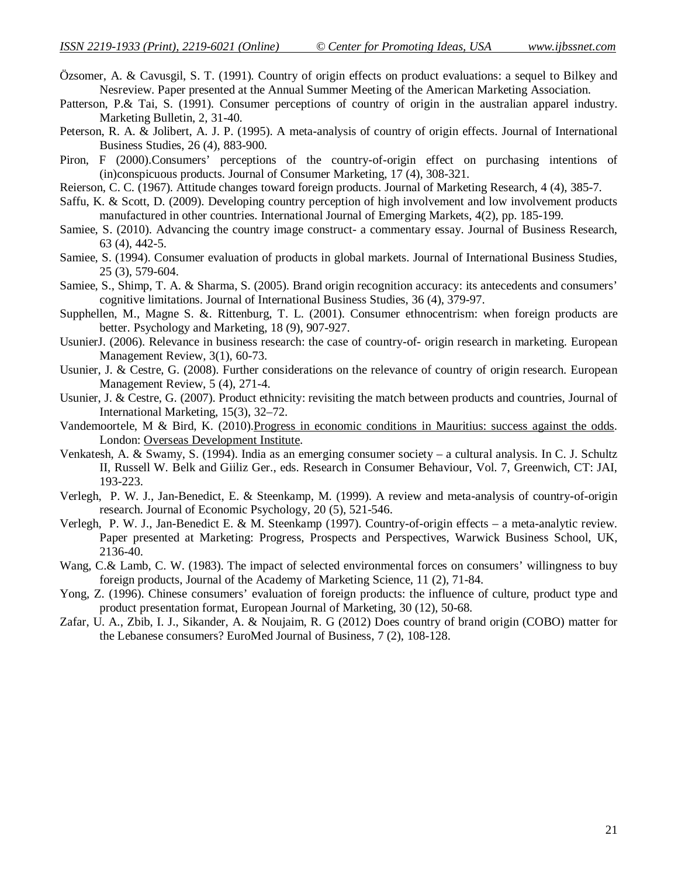- Özsomer, A. & Cavusgil, S. T. (1991). Country of origin effects on product evaluations: a sequel to Bilkey and Nesreview. Paper presented at the Annual Summer Meeting of the American Marketing Association.
- Patterson, P.& Tai, S. (1991). Consumer perceptions of country of origin in the australian apparel industry. Marketing Bulletin, 2, 31-40.
- Peterson, R. A. & Jolibert, A. J. P. (1995). A meta-analysis of country of origin effects. Journal of International Business Studies, 26 (4), 883-900.
- Piron, F (2000).Consumers' perceptions of the country-of-origin effect on purchasing intentions of (in)conspicuous products. Journal of Consumer Marketing, 17 (4), 308-321.
- Reierson, C. C. (1967). Attitude changes toward foreign products. Journal of Marketing Research, 4 (4), 385-7.
- Saffu, K. & Scott, D. (2009). Developing country perception of high involvement and low involvement products manufactured in other countries. International Journal of Emerging Markets, 4(2), pp. 185-199.
- Samiee, S. (2010). Advancing the country image construct- a commentary essay. Journal of Business Research, 63 (4), 442-5.
- Samiee, S. (1994). Consumer evaluation of products in global markets. Journal of International Business Studies, 25 (3), 579-604.
- Samiee, S., Shimp, T. A. & Sharma, S. (2005). Brand origin recognition accuracy: its antecedents and consumers' cognitive limitations. Journal of International Business Studies, 36 (4), 379-97.
- Supphellen, M., Magne S. &. Rittenburg, T. L. (2001). Consumer ethnocentrism: when foreign products are better. Psychology and Marketing, 18 (9), 907-927.
- UsunierJ. (2006). Relevance in business research: the case of country-of- origin research in marketing. European Management Review, 3(1), 60-73.
- Usunier, J. & Cestre, G. (2008). Further considerations on the relevance of country of origin research. European Management Review, 5 (4), 271-4.
- Usunier, J. & Cestre, G. (2007). Product ethnicity: revisiting the match between products and countries, Journal of International Marketing, 15(3), 32–72.
- Vandemoortele, M & Bird, K. (2010).Progress in economic conditions in Mauritius: success against the odds. London: Overseas Development Institute.
- Venkatesh, A. & Swamy, S. (1994). India as an emerging consumer society a cultural analysis. In C. J. Schultz II, Russell W. Belk and Giiliz Ger., eds. Research in Consumer Behaviour, Vol. 7, Greenwich, CT: JAI, 193-223.
- Verlegh, P. W. J., Jan-Benedict, E. & Steenkamp, M. (1999). A review and meta-analysis of country-of-origin research. Journal of Economic Psychology, 20 (5), 521-546.
- Verlegh, P. W. J., Jan-Benedict E. & M. Steenkamp (1997). Country-of-origin effects a meta-analytic review. Paper presented at Marketing: Progress, Prospects and Perspectives, Warwick Business School, UK, 2136-40.
- Wang, C.& Lamb, C. W. (1983). The impact of selected environmental forces on consumers' willingness to buy foreign products, Journal of the Academy of Marketing Science, 11 (2), 71-84.
- Yong, Z. (1996). Chinese consumers' evaluation of foreign products: the influence of culture, product type and product presentation format, European Journal of Marketing, 30 (12), 50-68.
- Zafar, U. A., Zbib, I. J., Sikander, A. & Noujaim, R. G (2012) Does country of brand origin (COBO) matter for the Lebanese consumers? EuroMed Journal of Business, 7 (2), 108-128.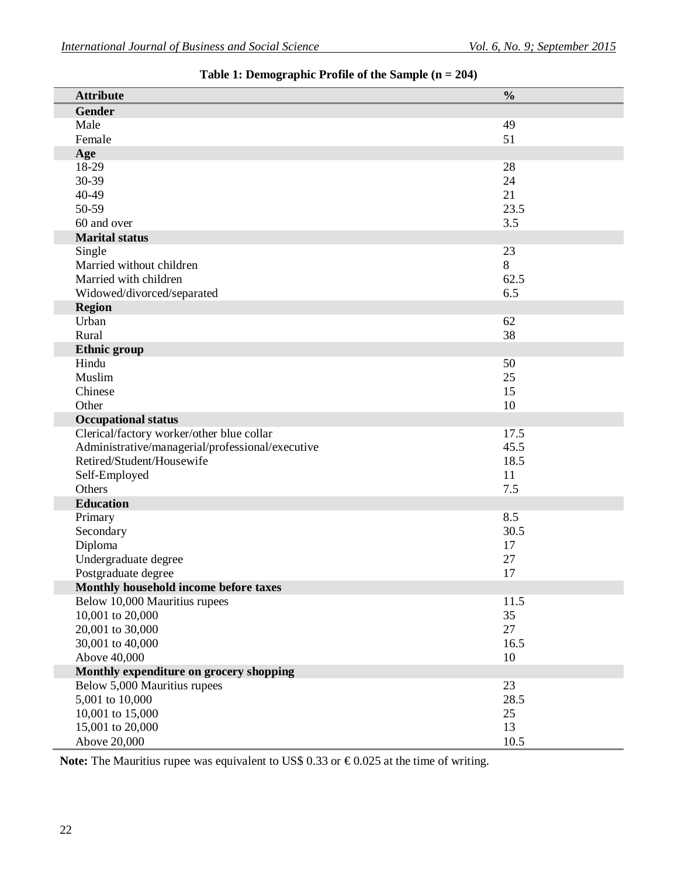| <b>Attribute</b>                                 | $\frac{0}{0}$ |
|--------------------------------------------------|---------------|
| <b>Gender</b>                                    |               |
| Male                                             | 49            |
| Female                                           | 51            |
| Age                                              |               |
| 18-29                                            | 28            |
| 30-39                                            | 24            |
| 40-49                                            | 21            |
| 50-59                                            | 23.5          |
| 60 and over                                      | 3.5           |
| <b>Marital status</b>                            |               |
| Single                                           | 23            |
| Married without children                         | 8             |
| Married with children                            | 62.5          |
| Widowed/divorced/separated                       | 6.5           |
| <b>Region</b>                                    |               |
| Urban                                            | 62            |
| Rural                                            | 38            |
| <b>Ethnic group</b>                              |               |
| Hindu                                            | 50            |
| Muslim                                           | 25            |
| Chinese                                          | 15            |
| Other                                            | 10            |
| <b>Occupational status</b>                       |               |
| Clerical/factory worker/other blue collar        | 17.5          |
| Administrative/managerial/professional/executive | 45.5          |
| Retired/Student/Housewife                        | 18.5          |
| Self-Employed                                    | 11            |
| Others                                           | 7.5           |
| <b>Education</b>                                 |               |
| Primary                                          | 8.5           |
| Secondary                                        | 30.5          |
| Diploma                                          | 17            |
| Undergraduate degree                             | 27            |
| Postgraduate degree                              | 17            |
| Monthly household income before taxes            |               |
| Below 10,000 Mauritius rupees                    | 11.5          |
| 10,001 to 20,000                                 | 35            |
| 20,001 to 30,000                                 | 27            |
| 30,001 to 40,000                                 | 16.5          |
| Above 40,000                                     | 10            |
|                                                  |               |
| Monthly expenditure on grocery shopping          | 23            |
| Below 5,000 Mauritius rupees<br>5,001 to 10,000  | 28.5          |
| 10,001 to 15,000                                 |               |
|                                                  | 25<br>13      |
| 15,001 to 20,000<br>Above 20,000                 | 10.5          |
|                                                  |               |

## **Table 1: Demographic Profile of the Sample (n = 204)**

Note: The Mauritius rupee was equivalent to US\$ 0.33 or €0.025 at the time of writing.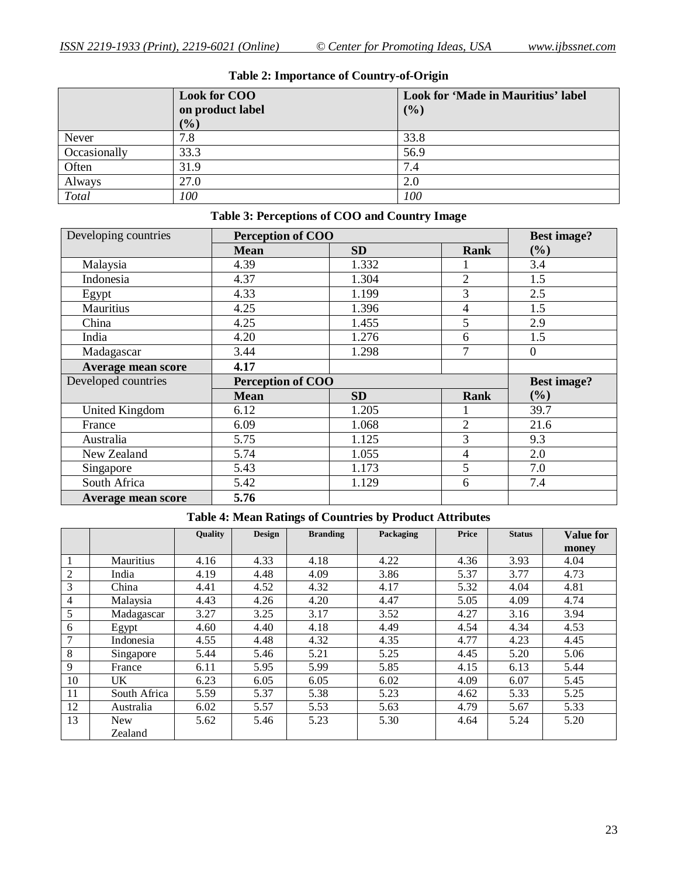|              | <b>Look for COO</b><br>on product label | Look for 'Made in Mauritius' label<br>(%) |  |  |  |
|--------------|-----------------------------------------|-------------------------------------------|--|--|--|
|              | $($ %)                                  |                                           |  |  |  |
| Never        | 7.8                                     | 33.8                                      |  |  |  |
| Occasionally | 33.3                                    | 56.9                                      |  |  |  |
| Often        | 31.9                                    | 7.4                                       |  |  |  |
| Always       | 27.0                                    | 2.0                                       |  |  |  |
| Total        | 100                                     | 100                                       |  |  |  |

## **Table 2: Importance of Country-of-Origin**

## **Table 3: Perceptions of COO and Country Image**

| Developing countries      | Perception of COO        | <b>Best image?</b> |                |                |
|---------------------------|--------------------------|--------------------|----------------|----------------|
|                           | <b>Mean</b>              | <b>SD</b>          | Rank           | (%)            |
| Malaysia                  | 4.39                     | 1.332              |                | 3.4            |
| Indonesia                 | 4.37                     | 1.304              | $\overline{2}$ | 1.5            |
| Egypt                     | 4.33                     | 1.199              | 3              | 2.5            |
| Mauritius                 | 4.25                     | 1.396              | 4              | 1.5            |
| China                     | 4.25                     | 1.455              | 5              | 2.9            |
| India                     | 4.20                     | 1.276              | 6              | 1.5            |
| Madagascar                | 3.44                     | 1.298              | 7              | $\overline{0}$ |
| Average mean score        | 4.17                     |                    |                |                |
| Developed countries       | <b>Perception of COO</b> | <b>Best image?</b> |                |                |
|                           | <b>Mean</b>              | <b>SD</b>          | <b>Rank</b>    | (%)            |
| United Kingdom            | 6.12                     | 1.205              |                | 39.7           |
| France                    | 6.09                     | 1.068              | $\overline{2}$ | 21.6           |
| Australia                 | 5.75                     | 1.125              | 3              | 9.3            |
| New Zealand               | 5.74                     | 1.055              | 4              | 2.0            |
| Singapore                 | 5.43                     | 1.173              | 5              | 7.0            |
| South Africa              | 5.42                     | 1.129              | 6              | 7.4            |
| <b>Average mean score</b> | 5.76                     |                    |                |                |

## **Table 4: Mean Ratings of Countries by Product Attributes**

|             |              | Quality | <b>Design</b> | <b>Branding</b> | Packaging | Price | <b>Status</b> | <b>Value for</b> |
|-------------|--------------|---------|---------------|-----------------|-----------|-------|---------------|------------------|
|             |              |         |               |                 |           |       |               | money            |
|             | Mauritius    | 4.16    | 4.33          | 4.18            | 4.22      | 4.36  | 3.93          | 4.04             |
| 2           | India        | 4.19    | 4.48          | 4.09            | 3.86      | 5.37  | 3.77          | 4.73             |
| 3           | China        | 4.41    | 4.52          | 4.32            | 4.17      | 5.32  | 4.04          | 4.81             |
| 4           | Malaysia     | 4.43    | 4.26          | 4.20            | 4.47      | 5.05  | 4.09          | 4.74             |
| 5           | Madagascar   | 3.27    | 3.25          | 3.17            | 3.52      | 4.27  | 3.16          | 3.94             |
| 6           | Egypt        | 4.60    | 4.40          | 4.18            | 4.49      | 4.54  | 4.34          | 4.53             |
| 7           | Indonesia    | 4.55    | 4.48          | 4.32            | 4.35      | 4.77  | 4.23          | 4.45             |
| 8           | Singapore    | 5.44    | 5.46          | 5.21            | 5.25      | 4.45  | 5.20          | 5.06             |
| $\mathbf Q$ | France       | 6.11    | 5.95          | 5.99            | 5.85      | 4.15  | 6.13          | 5.44             |
| 10          | UK.          | 6.23    | 6.05          | 6.05            | 6.02      | 4.09  | 6.07          | 5.45             |
| 11          | South Africa | 5.59    | 5.37          | 5.38            | 5.23      | 4.62  | 5.33          | 5.25             |
| 12          | Australia    | 6.02    | 5.57          | 5.53            | 5.63      | 4.79  | 5.67          | 5.33             |
| 13          | <b>New</b>   | 5.62    | 5.46          | 5.23            | 5.30      | 4.64  | 5.24          | 5.20             |
|             | Zealand      |         |               |                 |           |       |               |                  |